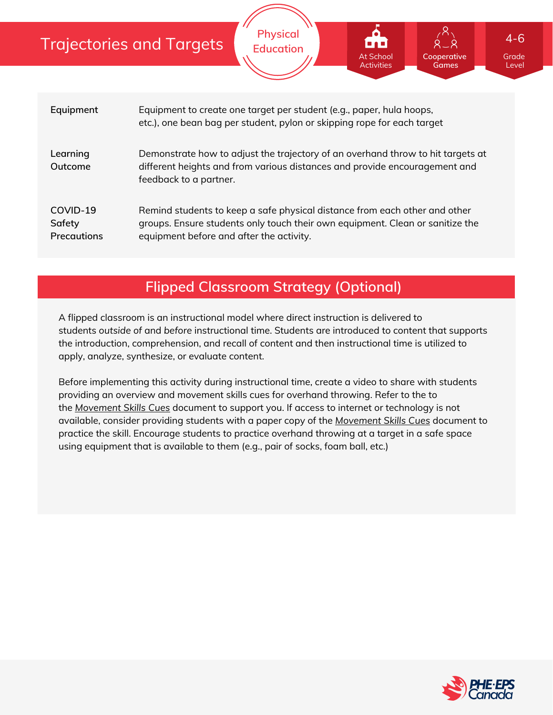## Trajectories and Targets

| Equipment                                | Equipment to create one target per student (e.g., paper, hula hoops,<br>etc.), one bean bag per student, pylon or skipping rope for each target                                                         |
|------------------------------------------|---------------------------------------------------------------------------------------------------------------------------------------------------------------------------------------------------------|
| Learning<br>Outcome                      | Demonstrate how to adjust the trajectory of an overhand throw to hit targets at<br>different heights and from various distances and provide encouragement and<br>feedback to a partner.                 |
| COVID-19<br>Safety<br><b>Precautions</b> | Remind students to keep a safe physical distance from each other and other<br>groups. Ensure students only touch their own equipment. Clean or sanitize the<br>equipment before and after the activity. |

**Physical Education**

## **Flipped Classroom Strategy (Optional)**

A flipped classroom is an instructional model where direct instruction is delivered to students *outside of* and *before* instructional time. Students are introduced to content that supports the introduction, comprehension, and recall of content and then instructional time is utilized to apply, analyze, synthesize, or evaluate content.

Before implementing this activity during instructional time, create a video to share with students providing an overview and movement skills cues for overhand throwing. Refer to the to the *[Movement](https://phecanada.ca/sites/default/files/content/docs/Home%20Learning%20Resource/Movement%20Cues/Movement%20Skills%20Cues%201.pdf) Skills Cues* document to support you. If access to internet or technology is not available, consider providing students with a paper copy of the *[Movement](https://phecanada.ca/sites/default/files/content/docs/Home%20Learning%20Resource/Movement%20Cues/Movement%20Skills%20Cues%201.pdf) Skills Cues* document to practice the skill. Encourage students to practice overhand throwing at a target in a safe space using equipment that is available to them (e.g., pair of socks, foam ball, etc.)



Grade Level

**Cooperative Games**

At School Activities 4-6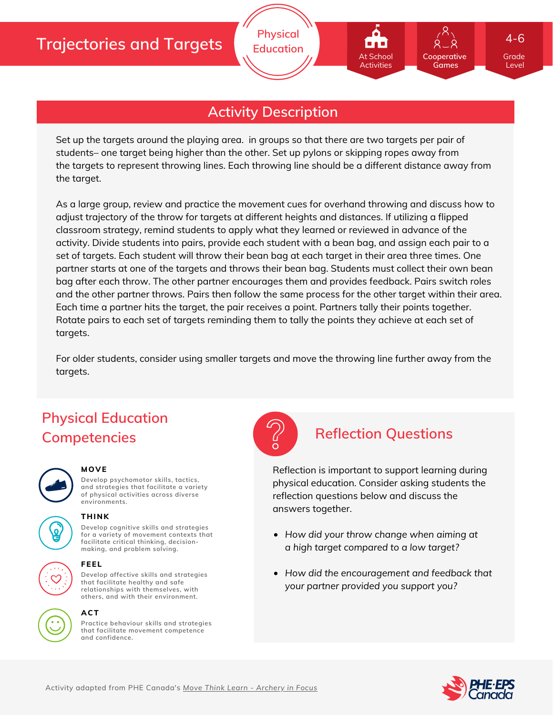

**Physical Education**

Set up the targets around the playing area. in groups so that there are two targets per pair of students– one target being higher than the other. Set up pylons or skipping ropes away from the targets to represent throwing lines. Each throwing line should be a different distance away from the target.

As a large group, review and practice the movement cues for overhand throwing and discuss how to adjust trajectory of the throw for targets at different heights and distances. If utilizing a flipped classroom strategy, remind students to apply what they learned or reviewed in advance of the activity. Divide students into pairs, provide each student with a bean bag, and assign each pair to a set of targets. Each student will throw their bean bag at each target in their area three times. One partner starts at one of the targets and throws their bean bag. Students must collect their own bean bag after each throw. The other partner encourages them and provides feedback. Pairs switch roles and the other partner throws. Pairs then follow the same process for the other target within their area. Each time a partner hits the target, the pair receives a point. Partners tally their points together. Rotate pairs to each set of targets reminding them to tally the points they achieve at each set of targets.

For older students, consider using smaller targets and move the throwing line further away from the targets.

# **Physical Education Competencies Reflection Questions**



#### **MOVE**

**Develop psychomotor skills, tactics, and strategies that facilitate a variety of physical activities across diverse environments.**



#### **THINK**

**Develop cognitive skills and strategies for a variety of movement contexts that facilitate critical thinking, decision making, and problem solving.**



#### **FEEL**

**Develop affective skills and strategies that facilitate healthy and safe relationships with themselves, with others, and with their environment.**

#### **ACT**



Reflection is important to support learning during physical education. Consider asking students the reflection questions below and discuss the answers together.

- *How did your throw change when aiming at a high target compared to a low target?*
- *How did the encouragement and feedback that your partner provided you support you?*



Grade Level

**Cooperative Games**

At School Activities

4-6